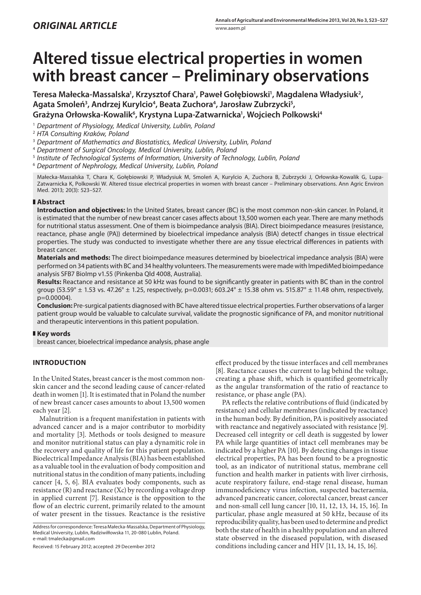# **Altered tissue electrical properties in women with breast cancer – Preliminary observations**

Teresa Małecka-Massalska<sup>1</sup>, Krzysztof Chara<sup>1</sup>, Paweł Gołębiowski<sup>1</sup>, Magdalena Władysiuk<sup>2</sup>, Agata Smoleń<sup>3</sup>, Andrzej Kurylcio<sup>4</sup>, Beata Zuchora<sup>4</sup>, Jarosław Zubrzycki<sup>5</sup>, **Grażyna Orłowska-Kowalik6 , Krystyna Lupa-Zatwarnicka1 , Wojciech Polkowski4**

1  *Department of Physiology, Medical University, Lublin, Poland*

2  *HTA Consulting Kraków, Poland*

3  *Department of Mathematics and Biostatistics, Medical University, Lublin, Poland*

4  *Department of Surgical Oncology, Medical University, Lublin, Poland*

5  *Institute of Technological Systems of Information, University of Technology, Lublin, Poland*

6  *Department of Nephrology, Medical University, Lublin, Poland*

Małecka-Massalska T, Chara K, Gołębiowski P, Władysiuk M, Smoleń A, Kurylcio A, Zuchora B, Zubrzycki J, Orłowska-Kowalik G, Lupa-Zatwarnicka K, Polkowski W. Altered tissue electrical properties in women with breast cancer – Preliminary observations. Ann Agric Environ Med. 2013; 20(3): 523–527.

## **Abstract**

**Introduction and objectives:** In the United States, breast cancer (BC) is the most common non-skin cancer. In Poland, it is estimated that the number of new breast cancer cases affects about 13,500 women each year. There are many methods for nutritional status assessment. One of them is bioimpedance analysis (BIA). Direct bioimpedance measures (resistance, reactance, phase angle (PA)) determined by bioelectrical impedance analysis (BIA) detectf changes in tissue electrical properties. The study was conducted to investigate whether there are any tissue electrical differences in patients with breast cancer.

**Materials and methods:** The direct bioimpedance measures determined by bioelectrical impedance analysis (BIA) were performed on 34 patients with BC and 34 healthy volunteers. The measurements were made with ImpediMed bioimpedance analysis SFB7 BioImp v1.55 (Pinkenba Qld 4008, Australia).

**Results:** Reactance and resistance at 50 kHz was found to be significantly greater in patients with BC than in the control group (53.59° ± 1.53 vs. 47.26° ± 1.25, respectively, p=0.0031; 603.24° ± 15.38 ohm vs. 515.87° ± 11.48 ohm, respectively, p=0.00004).

**Conclusion:** Pre-surgical patients diagnosed with BC have altered tissue electrical properties. Further observations of a larger patient group would be valuable to calculate survival, validate the prognostic significance of PA, and monitor nutritional and therapeutic interventions in this patient population.

# **Key words**

breast cancer, bioelectrical impedance analysis, phase angle

# **INTRODUCTION**

In the United States, breast cancer is the most common nonskin cancer and the second leading cause of cancer-related death in women [1]. It is estimated that in Poland the number of new breast cancer cases amounts to about 13,500 women each year [2].

Malnutrition is a frequent manifestation in patients with advanced cancer and is a major contributor to morbidity and mortality [3]. Methods or tools designed to measure and monitor nutritional status can play a dynamitic role in the recovery and quality of life for this patient population. Bioelectrical Impedance Analysis (BIA) has been established as a valuable tool in the evaluation of body composition and nutritional status in the condition of many patients, including cancer [4, 5, 6]. BIA evaluates body components, such as resistance (R) and reactance (Xc) by recording a voltage drop in applied current [7]. Resistance is the opposition to the flow of an electric current, primarily related to the amount of water present in the tissues. Reactance is the resistive

Address for correspondence: Teresa Małecka-Massalska, Department of Physiology, Medical University, Lublin, Radziwiłłowska 11, 20-080 Lublin, Poland. e-mail: tmalecka@gmail.com

Received: 15 February 2012; accepted: 29 December 2012

effect produced by the tissue interfaces and cell membranes [8]. Reactance causes the current to lag behind the voltage, creating a phase shift, which is quantified geometrically as the angular transformation of the ratio of reactance to resistance, or phase angle (PA).

PA reflects the relative contributions of fluid (indicated by resistance) and cellular membranes (indicated by reactance) in the human body. By definition, PA is positively associated with reactance and negatively associated with resistance [9]. Decreased cell integrity or cell death is suggested by lower PA while large quantities of intact cell membranes may be indicated by a higher PA [10]. By detecting changes in tissue electrical properties, PA has been found to be a prognostic tool, as an indicator of nutritional status, membrane cell function and health marker in patients with liver cirrhosis, acute respiratory failure, end-stage renal disease, human immunodeficiency virus infection, suspected bacteraemia, advanced pancreatic cancer, colorectal cancer, breast cancer and non-small cell lung cancer [10, 11, 12, 13, 14, 15, 16]. In particular, phase angle measured at 50 kHz, because of its reproducibility quality, has been used to determine and predict both the state of health in a healthy population and an altered state observed in the diseased population, with diseased conditions including cancer and HIV [11, 13, 14, 15, 16].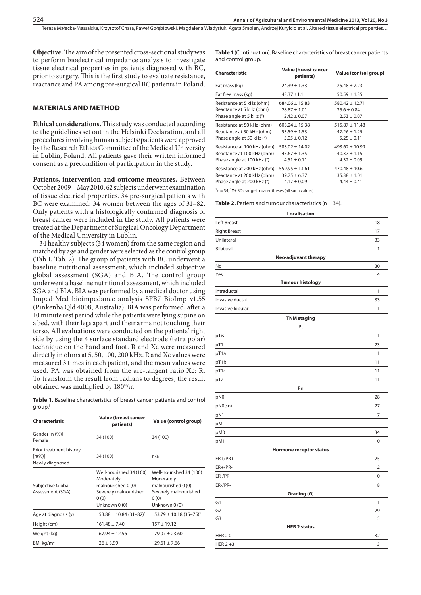Teresa Małecka-Massalska, Krzysztof Chara, Paweł Gołębiowski, Magdalena Władysiuk, Agata Smoleń, Andrzej Kurylcio et al. Altered tissue electrical properties…

**Objective.** The aim of the presented cross-sectional study was to perform bioelectrical impedance analysis to investigate tissue electrical properties in patients diagnosed with BC, prior to surgery. This is the first study to evaluate resistance, reactance and PA among pre-surgical BC patients in Poland.

## **MATERIALS AND METHOD**

**Ethical considerations.**This study was conducted according to the guidelines set out in the Helsinki Declaration, and all procedures involving human subjects/patients were approved by the Research Ethics Committee of the Medical University in Lublin, Poland. All patients gave their written informed consent as a precondition of participation in the study.

**Patients, intervention and outcome measures.** Between October 2009 – May 2010, 62 subjects underwent examination of tissue electrical properties. 34 pre-surgical patients with BC were examined: 34 women between the ages of 31–82. Only patients with a histologically confirmed diagnosis of breast cancer were included in the study. All patients were treated at the Department of Surgical Oncology Department of the Medical University in Lublin.

34 healthy subjects (34 women) from the same region and matched by age and gender were selected as the control group (Tab.1, Tab. 2). The group of patients with BC underwent a baseline nutritional assessment, which included subjective global assessment (SGA) and BIA. The control group underwent a baseline nutritional assessment, which included SGA and BIA. BIA was performed by a medical doctor using ImpediMed bioimpedance analysis SFB7 BioImp v1.55 (Pinkenba Qld 4008, Australia). BIA was performed, after a 10 minute rest period while the patients were lying supine on a bed, with their legs apart and their arms not touching their torso. All evaluations were conducted on the patients' right side by using the 4 surface standard electrode (tetra polar) technique on the hand and foot. R and Xc were measured directly in ohms at 5, 50, 100, 200 kHz. R and Xc values were measured 3 times in each patient, and the mean values were used. PA was obtained from the arc-tangent ratio Xc: R. To transform the result from radians to degrees, the result obtained was multiplied by  $180^{\circ}/\pi$ .

**Table 1.** Baseline characteristics of breast cancer patients and control  $group.<sup>1</sup>$ 

| Characteristic                                                                    | Value (breast cancer<br>patients)                                                                             | Value (control group)                                                                                         |  |
|-----------------------------------------------------------------------------------|---------------------------------------------------------------------------------------------------------------|---------------------------------------------------------------------------------------------------------------|--|
| Gender [n (%)]<br>Female                                                          | 34 (100)                                                                                                      | 34 (100)                                                                                                      |  |
| Prior treatment history<br>$\lceil n \cdot \frac{9}{6} \rceil$<br>Newly diagnosed | 34 (100)                                                                                                      | n/a                                                                                                           |  |
| Subjective Global<br>Assessment (SGA)                                             | Well-nourished 34 (100)<br>Moderately<br>malnourished 0 (0)<br>Severely malnourished<br>0(0)<br>Unknown 0 (0) | Well-nourished 34 (100)<br>Moderately<br>malnourished 0 (0)<br>Severely malnourished<br>0(0)<br>Unknown 0 (0) |  |
| Age at diagnosis (y)                                                              | $53.88 \pm 10.84$ (31-82) <sup>2</sup>                                                                        | $53.79 \pm 10.18(35 - 75)^2$                                                                                  |  |
| Height (cm)                                                                       | $161.48 \pm 7.40$                                                                                             | $157 + 19.12$                                                                                                 |  |
| Weight (kg)                                                                       | $67.94 + 12.56$                                                                                               | $79.07 \pm 23.60$                                                                                             |  |
| BMI kg/m <sup>2</sup>                                                             | $26 + 3.99$                                                                                                   | $29.61 + 7.66$                                                                                                |  |

**Table 1** (Continuation). Baseline characteristics of breast cancer patients and control group.

| Characteristic              | Value (breast cancer<br>patients) | Value (control group) |  |
|-----------------------------|-----------------------------------|-----------------------|--|
| Fat mass (kg)               | $24.39 + 1.33$                    | $25.48 + 2.23$        |  |
| Fat free mass (kg)          | $43.37 + 1.1$                     | $50.59 \pm 1.35$      |  |
| Resistance at 5 kHz (ohm)   | $684.06 \pm 15.83$                | $580.42 \pm 12.71$    |  |
| Reactance at 5 kHz (ohm)    | $28.87 \pm 1.01$                  | $25.6 \pm 0.84$       |  |
| Phase angle at 5 kHz (°)    | $2.42 \pm 0.07$                   | $2.53 \pm 0.07$       |  |
| Resistance at 50 kHz (ohm)  | $603.24 \pm 15.38$                | $515.87 \pm 11.48$    |  |
| Reactance at 50 kHz (ohm)   | $53.59 + 1.53$                    | $47.26 \pm 1.25$      |  |
| Phase angle at 50 kHz (°)   | $5.05 \pm 0.12$                   | $5.25 \pm 0.11$       |  |
| Resistance at 100 kHz (ohm) | $583.02 \pm 14.02$                | $493.62 \pm 10.99$    |  |
| Reactance at 100 kHz (ohm)  | $45.67 \pm 1.35$                  | $40.37 \pm 1.15$      |  |
| Phase angle at 100 kHz (°)  | $4.51 \pm 0.11$                   | $4.32 \pm 0.09$       |  |
| Resistance at 200 kHz (ohm) | $559.95 \pm 13.61$                | $470.48 \pm 10.6$     |  |
| Reactance at 200 kHz (ohm)  | $39.75 + 6.37$                    | $35.38 \pm 1.01$      |  |
| Phase angle at 200 kHz (°)  | $4.17 \pm 0.09$                   | $4.44 \pm 0.41$       |  |

 $\ln$  = 34; <sup>2</sup> $\overline{x}$ ± SD; range in parentheses (all such values).

#### **Table 2.** Patient and tumour characteristics (n = 34).

| <b>Localisation</b>     |                |  |  |  |
|-------------------------|----------------|--|--|--|
| Left Breast             | 18             |  |  |  |
| <b>Right Breast</b>     | 17             |  |  |  |
| Unilateral              | 33             |  |  |  |
| Bilateral               | 1              |  |  |  |
| Neo-adjuvant therapy    |                |  |  |  |
| No                      | 30             |  |  |  |
| Yes                     | 4              |  |  |  |
| <b>Tumour histology</b> |                |  |  |  |
| Intraductal             | 1              |  |  |  |
| Invasive ductal         | 33             |  |  |  |
| Invasive lobular        | 1              |  |  |  |
| <b>TNM</b> staging      |                |  |  |  |
| Pt                      |                |  |  |  |
| pTis                    | $\mathbf{1}$   |  |  |  |
| pT1                     | 23             |  |  |  |
| pT1a                    | 1              |  |  |  |
| pT1b                    | 11             |  |  |  |
| pT1c                    | 11             |  |  |  |
| pT2                     | 11             |  |  |  |
| Pn                      |                |  |  |  |
| pN <sub>0</sub>         | 28             |  |  |  |
| pN0(sn)                 | 27             |  |  |  |
| pN1                     | 7              |  |  |  |
| pM                      |                |  |  |  |
| pM0                     | 34             |  |  |  |
| pM1                     | 0              |  |  |  |
| Hormone receptor status |                |  |  |  |
| $ER+/PR+$               | 25             |  |  |  |
| $ER+/PR-$               | $\overline{2}$ |  |  |  |
| $ER$ -/PR+              | 0              |  |  |  |
| ER-/PR-                 | 8              |  |  |  |
| Grading (G)             |                |  |  |  |
| G1                      | 1              |  |  |  |
| G <sub>2</sub>          | 29             |  |  |  |
| G <sub>3</sub>          | 5              |  |  |  |
| <b>HER 2 status</b>     |                |  |  |  |
| <b>HER 20</b>           | 32             |  |  |  |
| HER $2 + 3$             | 3              |  |  |  |
|                         |                |  |  |  |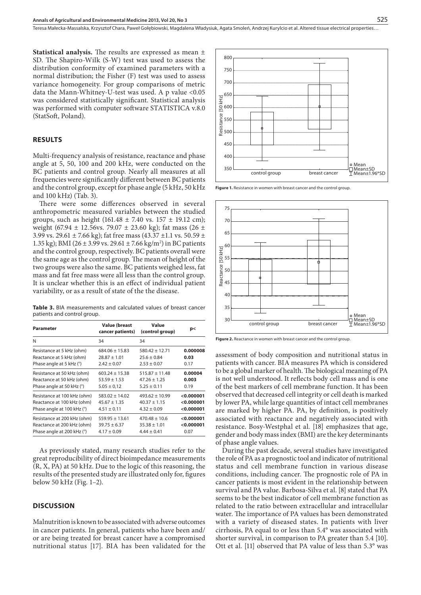Teresa Małecka-Massalska, Krzysztof Chara, Paweł Gołębiowski, Magdalena Władysiuk, Agata Smoleń, Andrzej Kurylcio et al. Altered tissue electrical properties…

**Statistical analysis.** The results are expressed as mean ± SD. The Shapiro-Wilk (S-W) test was used to assess the distribution conformity of examined parameters with a normal distribution; the Fisher (F) test was used to assess variance homogeneity. For group comparisons of metric data the Mann-Whitney-U-test was used. A p value <0.05 was considered statistically significant. Statistical analysis was performed with computer software STATISTICA v.8.0 (StatSoft, Poland).

## **RESULTS**

Multi-frequency analysis of resistance, reactance and phase angle at 5, 50, 100 and 200 kHz, were conducted on the BC patients and control group. Nearly all measures at all frequencies were significantly different between BC patients and the control group, except for phase angle (5 kHz, 50 kHz and 100 kHz) (Tab. 3).

There were some differences observed in several anthropometric measured variables between the studied groups, such as height (161.48  $\pm$  7.40 vs. 157  $\pm$  19.12 cm); weight (67.94  $\pm$  12.56vs. 79.07  $\pm$  23.60 kg); fat mass (26  $\pm$ 3.99 vs. 29.61  $\pm$  7.66 kg); fat free mass (43.37  $\pm$ 1.1 vs. 50.59  $\pm$ 1.35 kg); BMI (26  $\pm$  3.99 vs. 29.61  $\pm$  7.66 kg/m<sup>2</sup>) in BC patients and the control group, respectively. BC patients overall were the same age as the control group. The mean of height of the two groups were also the same. BC patients weighed less, fat mass and fat free mass were all less than the control group. It is unclear whether this is an effect of individual patient variability, or as a result of state of the the disease.

**Table 3.** BIA measurements and calculated values of breast cancer patients and control group.

| Parameter                   | <b>Value (breast</b><br>cancer patients) | Value<br>(control group) | p<         |
|-----------------------------|------------------------------------------|--------------------------|------------|
| N                           | 34                                       | 34                       |            |
| Resistance at 5 kHz (ohm)   | $684.06 \pm 15.83$                       | $580.42 + 12.71$         | 0.000008   |
| Reactance at 5 kHz (ohm)    | $28.87 \pm 1.01$                         | $25.6 \pm 0.84$          | 0.03       |
| Phase angle at 5 kHz (°)    | $2.42 \pm 0.07$                          | $2.53 + 0.07$            | 0.17       |
| Resistance at 50 kHz (ohm)  | $603.24 + 15.38$                         | $515.87 + 11.48$         | 0.00004    |
| Reactance at 50 kHz (ohm)   | $53.59 + 1.53$                           | $47.26 \pm 1.25$         | 0.003      |
| Phase angle at 50 kHz (°)   | $5.05 \pm 0.12$                          | $5.25 + 0.11$            | 0.19       |
| Resistance at 100 kHz (ohm) | $583.02 + 14.02$                         | $493.62 + 10.99$         | < 0.000001 |
| Reactance at 100 kHz (ohm)  | $45.67 \pm 1.35$                         | $40.37 \pm 1.15$         | < 0.000001 |
| Phase angle at 100 kHz (°)  | $4.51 \pm 0.11$                          | $4.32 \pm 0.09$          | < 0.000001 |
| Resistance at 200 kHz (ohm) | $559.95 + 13.61$                         | $470.48 \pm 10.6$        | < 0.000001 |
| Reactance at 200 kHz (ohm)  | $39.75 + 6.37$                           | $35.38 \pm 1.01$         | < 0.000001 |
| Phase angle at 200 kHz (°)  | $4.17 \pm 0.09$                          | $4.44 \pm 0.41$          | 0.07       |

As previously stated, many research studies refer to the great reproducibility of direct bioimpedance measurements (R, X, PA) at 50 kHz. Due to the logic of this reasoning, the results of the presented study are illustrated only for, figures below 50 kHz (Fig. 1–2).

## **DISCUSSION**

Malnutrition is known to be associated with adverse outcomes in cancer patients. In general, patients who have been and/ or are being treated for breast cancer have a compromised nutritional status [17]. BIA has been validated for the



**Figure 1.** Resistance in women with breast cancer and the control group.



**Figure 2.** Reactance in women with breast cancer and the control group.

assessment of body composition and nutritional status in patients with cancer. BIA measures PA which is considered to be a global marker of health. The biological meaning of PA is not well understood. It reflects body cell mass and is one of the best markers of cell membrane function. It has been observed that decreased cell integrity or cell death is marked by lower PA, while large quantities of intact cell membranes are marked by higher PA. PA, by definition, is positively associated with reactance and negatively associated with resistance. Bosy-Westphal et al*.* [18] emphasizes that age, gender and body mass index (BMI) are the key determinants of phase angle values.

During the past decade, several studies have investigated the role of PA as a prognostic tool and indicator of nutritional status and cell membrane function in various disease conditions, including cancer. The prognostic role of PA in cancer patients is most evident in the relationship between survival and PA value. Barbosa-Silva et al. [8] stated that PA seems to be the best indicator of cell membrane function as related to the ratio between extracellular and intracellular water. The importance of PA values has been demonstrated with a variety of diseased states. In patients with liver cirrhosis, PA equal to or less than 5.4° was associated with shorter survival, in comparison to PA greater than 5.4 [10]. Ott et al*.* [11] observed that PA value of less than 5.3° was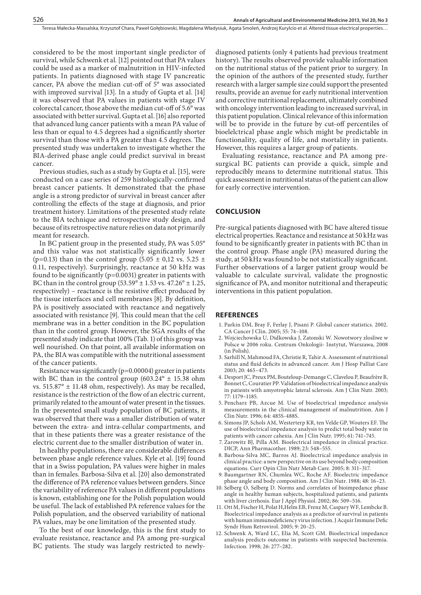considered to be the most important single predictor of survival, while Schwenk et al*.* [12] pointed out that PA values could be used as a marker of malnutrition in HIV-infected patients. In patients diagnosed with stage IV pancreatic cancer, PA above the median cut-off of 5° was associated with improved survival [13]. In a study of Gupta et al. [14] it was observed that PA values in patients with stage IV colorectal cancer, those above the median cut-off of 5.6° was associated with better survival. Gupta et al. [16] also reported that advanced lung cancer patients with a mean PA value of less than or equal to 4.5 degrees had a significantly shorter survival than those with a PA greater than 4.5 degrees. The presented study was undertaken to investigate whether the BIA-derived phase angle could predict survival in breast cancer.

Previous studies, such as a study by Gupta et al. [15], were conducted on a case series of 259 histologically-confirmed breast cancer patients. It demonstrated that the phase angle is a strong predictor of survival in breast cancer after controlling the effects of the stage at diagnosis, and prior treatment history. Limitations of the presented study relate to the BIA technique and retrospective study design, and because of its retrospective nature relies on data not primarily meant for research.

In BC patient group in the presented study, PA was 5.05° and this value was not statistically significantly lower (p=0.13) than in the control group  $(5.05 \pm 0.12 \text{ vs. } 5.25 \pm 1.01)$ 0.11, respectively). Surprisingly, reactance at 50 kHz was found to be significantly (p=0.0031) greater in patients with BC than in the control group  $(53.59^\circ \pm 1.53 \text{ vs. } 47.26^\circ \pm 1.25,$ respectively) – reactance is the resistive effect produced by the tissue interfaces and cell membranes [8]. By definition, PA is positively associated with reactance and negatively associated with resistance [9]. This could mean that the cell membrane was in a better condition in the BC population than in the control group. However, the SGA results of the presented study indicate that 100% (Tab. 1) of this group was well nourished. On that point, all available information on PA, the BIA was compatible with the nutritional assessment of the cancer patients.

Resistance was significantly  $(p=0.00004)$  greater in patients with BC than in the control group (603.24 $\degree$  ± 15.38 ohm vs.  $515.87^\circ \pm 11.48$  ohm, respectively). As may be recalled, resistance is the restriction of the flow of an electric current, primarily related to the amount of water present in the tissues. In the presented small study population of BC patients, it was observed that there was a smaller distribution of water between the extra- and intra-cellular compartments, and that in these patients there was a greater resistance of the electric current due to the smaller distribution of water in.

In healthy populations, there are considerable differences between phase angle reference values. Kyle et al*.* [19] found that in a Swiss population, PA values were higher in males than in females. Barbosa-Silva et al. [20] also demonstrated the difference of PA reference values between genders. Since the variability of reference PA values in different populations is known, establishing one for the Polish population would be useful. The lack of established PA reference values for the Polish population, and the observed variability of national PA values, may be one limitation of the presented study.

To the best of our knowledge, this is the first study to evaluate resistance, reactance and PA among pre-surgical BC patients. The study was largely restricted to newly-

diagnosed patients (only 4 patients had previous treatment history). The results observed provide valuable information on the nutritional status of the patient prior to surgery. In the opinion of the authors of the presented study, further research with a larger sample size could support the presented results, provide an avenue for early nutritional intervention and corrective nutritional replacement, ultimately combined with oncology intervention leading to increased survival, in this patient population. Clinical relevance of this information will be to provide in the future by cut-off percentiles of bioelelctrical phase angle which might be predictable in functionality, quality of life, and mortality in patients. However, this requires a larger group of patients.

Evaluating resistance, reactance and PA among presurgical BC patients can provide a quick, simple and reproducibly means to determine nutritional status. This quick assessment in nutritional status of the patient can allow for early corrective intervention.

## **CONCLUSION**

Pre-surgical patients diagnosed with BC have altered tissue electrical properties. Reactance and resistance at 50 kHz was found to be significantly greater in patients with BC than in the control group. Phase angle (PA) measured during the study, at 50 kHz was found to be not statistically significant. Further observations of a larger patient group would be valuable to calculate survival, validate the prognostic significance of PA, and monitor nutritional and therapeutic interventions in this patient population.

## **REFERENCES**

- 1. Parkin DM, Bray F, Ferlay J, Pisani P. Global cancer statistics. 2002. CA Cancer J Clin. 2005; 55: 74–108.
- 2. Wojciechowska U, Didkowska J, Zatonski W. Nowotwory zlosliwe w Polsce w 2006 roku. Centrum Onkologii- Instytut, Warszawa, 2008 (in Polish).
- 3. Sarhill N, Mahmoud FA, Christie R, Tahir A. Assessment of nutritional status and fluid deficits in advanced cancer. Am J Hosp Palliat Care 2003; 20: 465–473.
- 4. Desport JC, Preux PM, Bouteloup-Demange C, Clavelou P, Beaufrère B, Bonnet C, Couratier PP. Validation of bioelectrical impedance analysis in patients with amyotrophic lateral sclerosis. Am J Clin Nutr. 2003; 77: 1179–1185.
- 5. Pencharz PB, Azcue M. Use of bioelectrical impedance analysis measurements in the clinical management of malnutrition. Am J Clin Nutr. 1996; 64: 485S-488S.
- 6. Simons JP, Schols AM, Westerterp KR, ten Velde GP, Wouters EF. The use of bioelectrical impedance analysis to predict total body water in patients with cancer cahexia. Am J Clin Nutr. 1995; 61: 741–745.
- 7. Zarowitz BJ, Pilla AM. Bioelectrical impedance in clinical practice. DICP, Ann Pharmacother. 1989; 23: 548–555.
- 8. Barbosa-Silva MC, Barros AJ. Bioelectrical impedance analysis in clinical practice: a new perspective on its use beyond body composition equations. Curr Opin Clin Nutr Metab Care. 2005; 8: 311–317.
- 9. Baumgartner RN, Chumlea WC, Roche AF. Bioelectric impedance phase angle and body composition. Am J Clin Nutr. 1988; 48: 16–23.
- 10. Selberg O, Selberg D. Norms and correlates of bioimpedance phase angle in healthy human subjects, hospitalized patients, and patients with liver cirrhosis. Eur J Appl Physiol. 2002; 86: 509–516.
- 11. Ott M, Fischer H, Polat H,Helm EB, Frenz M, Caspary WF, Lembcke B. Bioelectrical impedance analysis as a predictor of survival in patients with human immunodeficiency virus infection. J Acquir Immune Defic Syndr Hum Retrovirol. 2005; 9: 20–25.
- 12. Schwenk A, Ward LC, Elia M, Scott GM. Bioelectrical impedance analysis predicts outcome in patients with suspected bacteremia. Infection. 1998; 26: 277–282.